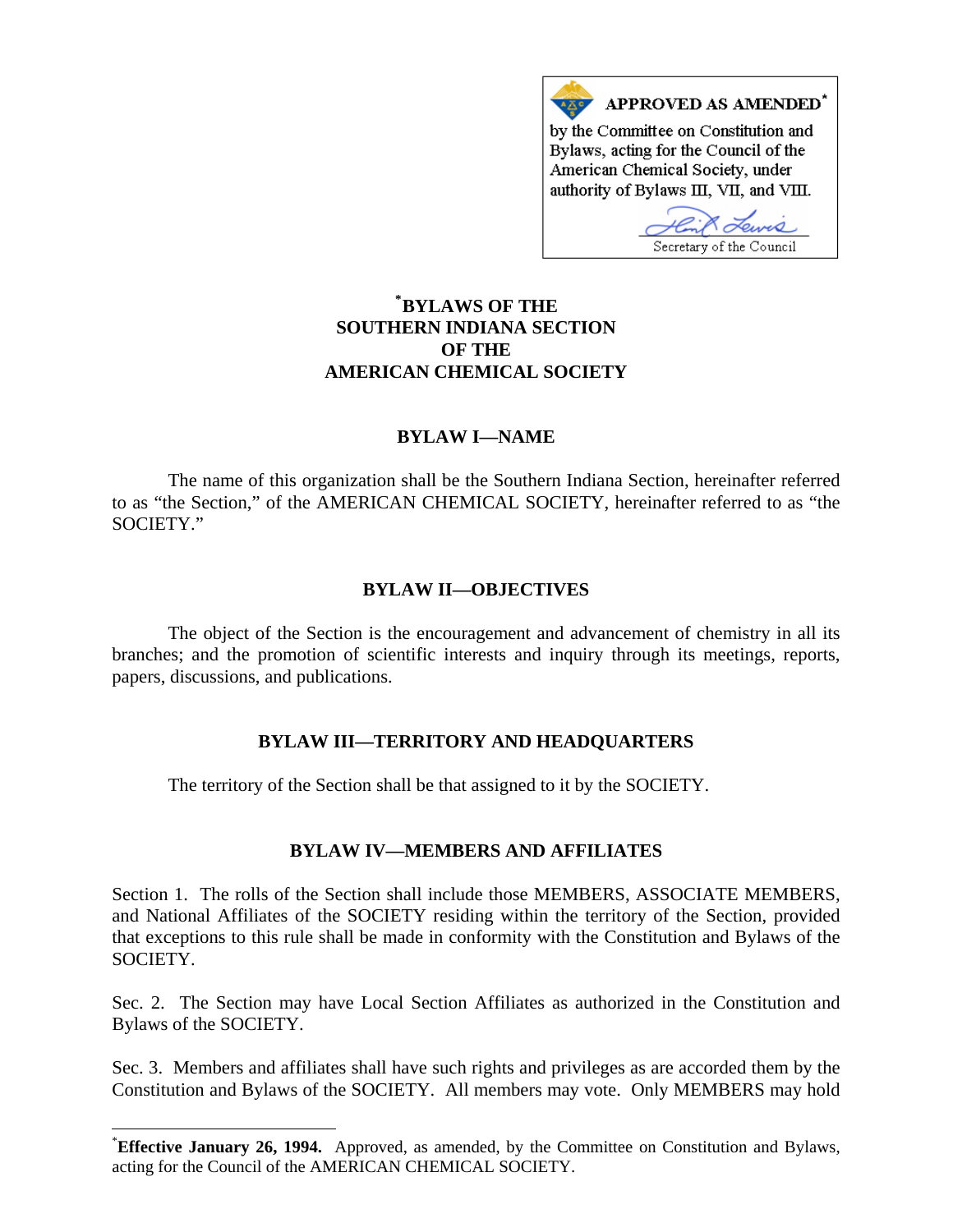

# **\* [BYLAWS OF THE](#page-0-0)  SOUTHERN INDIANA SECTION OF THE AMERICAN CHEMICAL SOCIETY**

## **BYLAW I—NAME**

The name of this organization shall be the Southern Indiana Section, hereinafter referred to as "the Section," of the AMERICAN CHEMICAL SOCIETY, hereinafter referred to as "the SOCIETY."

### **BYLAW II—OBJECTIVES**

The object of the Section is the encouragement and advancement of chemistry in all its branches; and the promotion of scientific interests and inquiry through its meetings, reports, papers, discussions, and publications.

### **BYLAW III—TERRITORY AND HEADQUARTERS**

The territory of the Section shall be that assigned to it by the SOCIETY.

# **BYLAW IV—MEMBERS AND AFFILIATES**

Section 1. The rolls of the Section shall include those MEMBERS, ASSOCIATE MEMBERS, and National Affiliates of the SOCIETY residing within the territory of the Section, provided that exceptions to this rule shall be made in conformity with the Constitution and Bylaws of the SOCIETY.

Sec. 2. The Section may have Local Section Affiliates as authorized in the Constitution and Bylaws of the SOCIETY.

Sec. 3. Members and affiliates shall have such rights and privileges as are accorded them by the Constitution and Bylaws of the SOCIETY. All members may vote. Only MEMBERS may hold

 $\overline{\phantom{a}}$ 

<span id="page-0-0"></span><sup>\*</sup> **Effective January 26, 1994.** Approved, as amended, by the Committee on Constitution and Bylaws, acting for the Council of the AMERICAN CHEMICAL SOCIETY.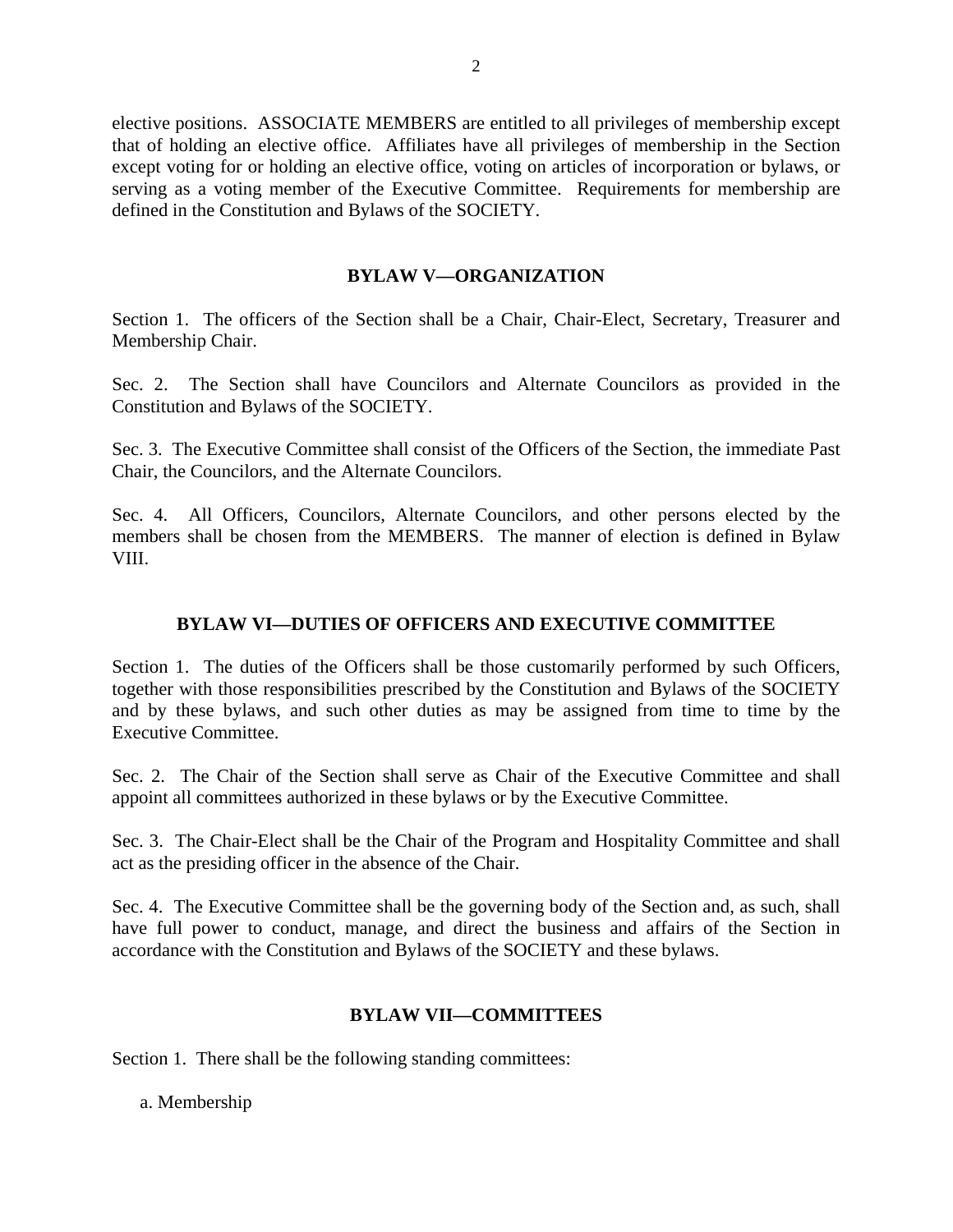elective positions. ASSOCIATE MEMBERS are entitled to all privileges of membership except that of holding an elective office. Affiliates have all privileges of membership in the Section except voting for or holding an elective office, voting on articles of incorporation or bylaws, or serving as a voting member of the Executive Committee. Requirements for membership are defined in the Constitution and Bylaws of the SOCIETY.

### **BYLAW V—ORGANIZATION**

Section 1. The officers of the Section shall be a Chair, Chair-Elect, Secretary, Treasurer and Membership Chair.

Sec. 2. The Section shall have Councilors and Alternate Councilors as provided in the Constitution and Bylaws of the SOCIETY.

Sec. 3. The Executive Committee shall consist of the Officers of the Section, the immediate Past Chair, the Councilors, and the Alternate Councilors.

Sec. 4. All Officers, Councilors, Alternate Councilors, and other persons elected by the members shall be chosen from the MEMBERS. The manner of election is defined in Bylaw VIII.

# **BYLAW VI—DUTIES OF OFFICERS AND EXECUTIVE COMMITTEE**

Section 1. The duties of the Officers shall be those customarily performed by such Officers, together with those responsibilities prescribed by the Constitution and Bylaws of the SOCIETY and by these bylaws, and such other duties as may be assigned from time to time by the Executive Committee.

Sec. 2. The Chair of the Section shall serve as Chair of the Executive Committee and shall appoint all committees authorized in these bylaws or by the Executive Committee.

Sec. 3. The Chair-Elect shall be the Chair of the Program and Hospitality Committee and shall act as the presiding officer in the absence of the Chair.

Sec. 4. The Executive Committee shall be the governing body of the Section and, as such, shall have full power to conduct, manage, and direct the business and affairs of the Section in accordance with the Constitution and Bylaws of the SOCIETY and these bylaws.

### **BYLAW VII—COMMITTEES**

Section 1. There shall be the following standing committees:

a. Membership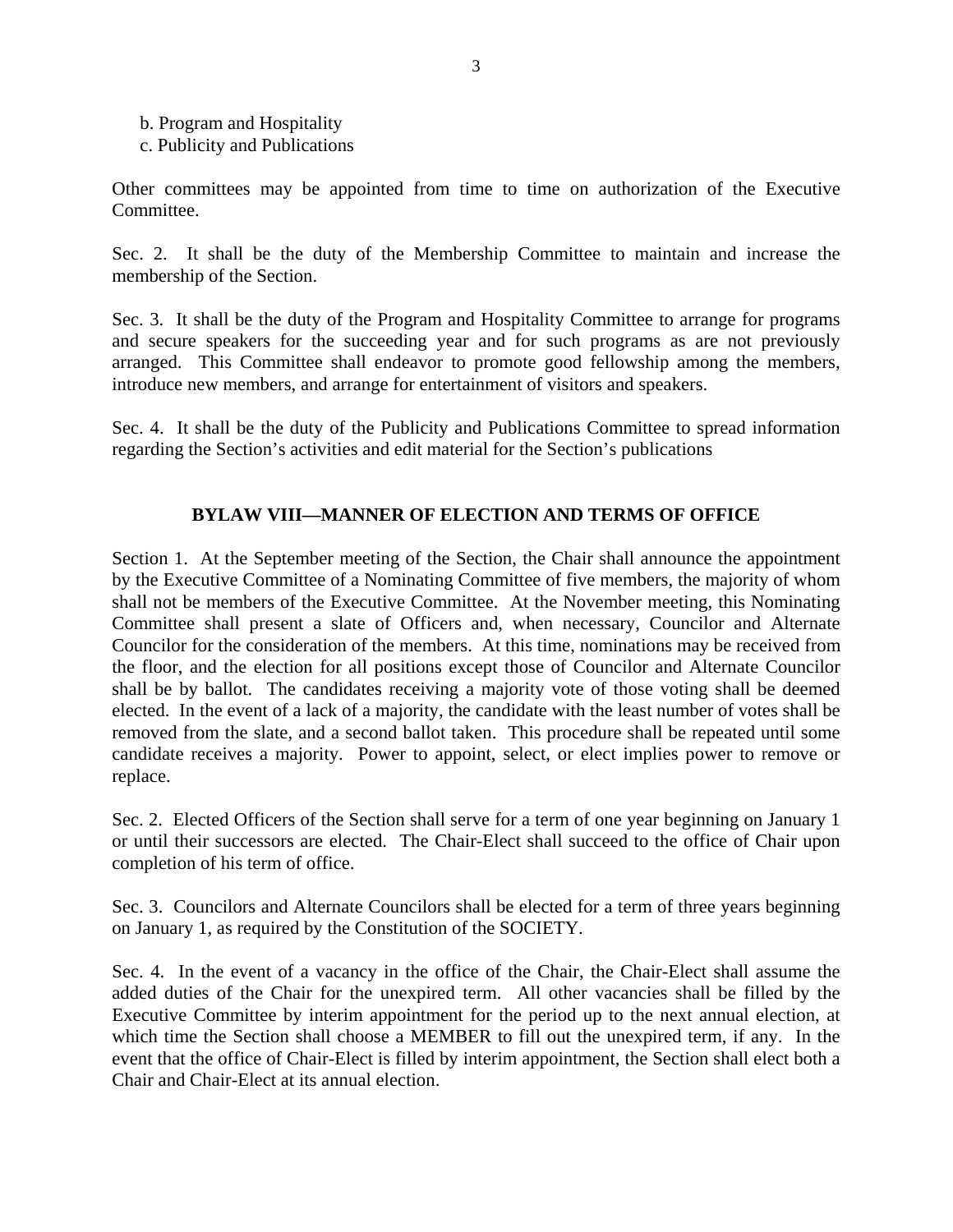- b. Program and Hospitality
- c. Publicity and Publications

Other committees may be appointed from time to time on authorization of the Executive Committee.

Sec. 2. It shall be the duty of the Membership Committee to maintain and increase the membership of the Section.

Sec. 3. It shall be the duty of the Program and Hospitality Committee to arrange for programs and secure speakers for the succeeding year and for such programs as are not previously arranged. This Committee shall endeavor to promote good fellowship among the members, introduce new members, and arrange for entertainment of visitors and speakers.

Sec. 4. It shall be the duty of the Publicity and Publications Committee to spread information regarding the Section's activities and edit material for the Section's publications

### **BYLAW VIII—MANNER OF ELECTION AND TERMS OF OFFICE**

Section 1. At the September meeting of the Section, the Chair shall announce the appointment by the Executive Committee of a Nominating Committee of five members, the majority of whom shall not be members of the Executive Committee. At the November meeting, this Nominating Committee shall present a slate of Officers and, when necessary, Councilor and Alternate Councilor for the consideration of the members. At this time, nominations may be received from the floor, and the election for all positions except those of Councilor and Alternate Councilor shall be by ballot. The candidates receiving a majority vote of those voting shall be deemed elected. In the event of a lack of a majority, the candidate with the least number of votes shall be removed from the slate, and a second ballot taken. This procedure shall be repeated until some candidate receives a majority. Power to appoint, select, or elect implies power to remove or replace.

Sec. 2. Elected Officers of the Section shall serve for a term of one year beginning on January 1 or until their successors are elected. The Chair-Elect shall succeed to the office of Chair upon completion of his term of office.

Sec. 3. Councilors and Alternate Councilors shall be elected for a term of three years beginning on January 1, as required by the Constitution of the SOCIETY.

Sec. 4. In the event of a vacancy in the office of the Chair, the Chair-Elect shall assume the added duties of the Chair for the unexpired term. All other vacancies shall be filled by the Executive Committee by interim appointment for the period up to the next annual election, at which time the Section shall choose a MEMBER to fill out the unexpired term, if any. In the event that the office of Chair-Elect is filled by interim appointment, the Section shall elect both a Chair and Chair-Elect at its annual election.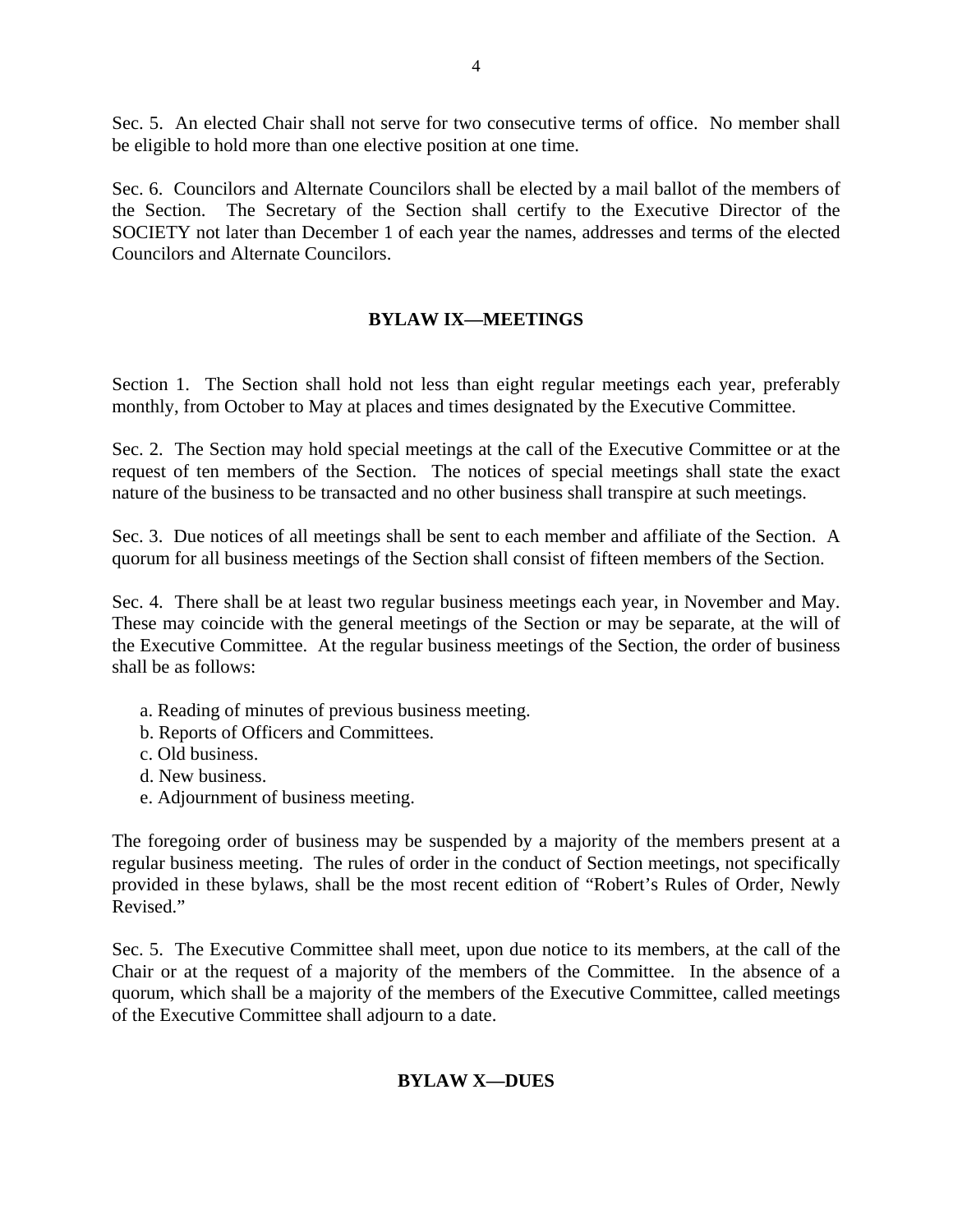Sec. 5. An elected Chair shall not serve for two consecutive terms of office. No member shall be eligible to hold more than one elective position at one time.

Sec. 6. Councilors and Alternate Councilors shall be elected by a mail ballot of the members of the Section. The Secretary of the Section shall certify to the Executive Director of the SOCIETY not later than December 1 of each year the names, addresses and terms of the elected Councilors and Alternate Councilors.

## **BYLAW IX—MEETINGS**

Section 1. The Section shall hold not less than eight regular meetings each year, preferably monthly, from October to May at places and times designated by the Executive Committee.

Sec. 2. The Section may hold special meetings at the call of the Executive Committee or at the request of ten members of the Section. The notices of special meetings shall state the exact nature of the business to be transacted and no other business shall transpire at such meetings.

Sec. 3. Due notices of all meetings shall be sent to each member and affiliate of the Section. A quorum for all business meetings of the Section shall consist of fifteen members of the Section.

Sec. 4. There shall be at least two regular business meetings each year, in November and May. These may coincide with the general meetings of the Section or may be separate, at the will of the Executive Committee. At the regular business meetings of the Section, the order of business shall be as follows:

- a. Reading of minutes of previous business meeting.
- b. Reports of Officers and Committees.
- c. Old business.
- d. New business.
- e. Adjournment of business meeting.

The foregoing order of business may be suspended by a majority of the members present at a regular business meeting. The rules of order in the conduct of Section meetings, not specifically provided in these bylaws, shall be the most recent edition of "Robert's Rules of Order, Newly Revised."

Sec. 5. The Executive Committee shall meet, upon due notice to its members, at the call of the Chair or at the request of a majority of the members of the Committee. In the absence of a quorum, which shall be a majority of the members of the Executive Committee, called meetings of the Executive Committee shall adjourn to a date.

### **BYLAW X—DUES**